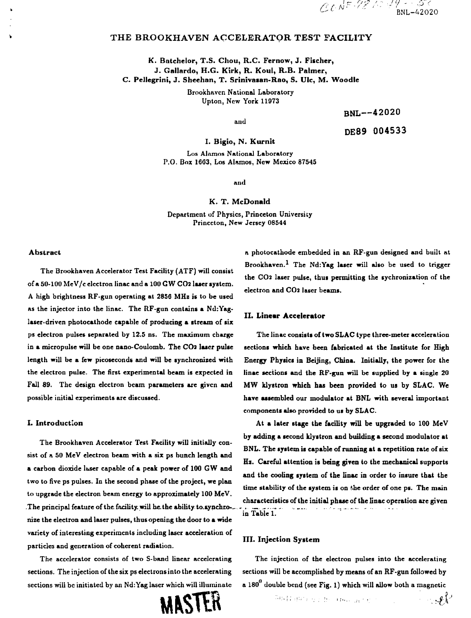BNL-42020

# THE BROOKHAVEN ACCELERATOR TEST FACILITY

**K. Batchelor, T.S. Cliou, R.C. Fernow, J. Fischer, J. Gallardo, H.G. Kirk, R. Koul, R.B. Palmer, C. Pellegrini, J. Sheehan, T. Srinivasan-Rao, S. Ulc, M. Woodle**

> **Brookhavcn National Laboratory Upton, New York 11973**

> > **BNL—42020**

**and**

**DE89 004533**

**I. Bigio, N. Kurnit**

**Los Alamos National Laboratory P.O. Box 1663, Los Alamos, New Mexico 87545**

**mid**

**K. T. McDonald**

**Department of Physics, Princeton University Princeton, New Jersey 08544**

### **Abstract**

**The Brookhaven Accelerator Test Facility (ATF) will consist of a 50-100 McV/c electron linac and a 100 G W CO2 laser system. A high brightness RF-gun operating at 2856 MHz is to be used as the injector into the linac. The RF-gun contains a Nd:Yag**laser-driven photocathode capable of producing a stream of six **ps electron pulses separated by 12.5 ns. The maximum charge in a micropulse will be one nano-Coulomb. The COa later pulse length will be a few picoseconds and will be synchronized with the electron pulse. The first experimental beam is expected in Fall 89. The design electron beam parameters are given and possible initial experiments are discussed.**

### **I. Introduction**

**The Brookhavcn Accelerator Test Facility will initially consist of a 50 MeV electron beam with a six ps bunch length and a carbon dioxide laser capable of a peak power of 100 GW and two to five ps pulses. In the second phase of the project, we plan to upgrade the electron beam energy to approximately 100 MeV. .The principal feature of the facility, will be. the ability to.synchio\*... nize the electron and laser pulses, thus opening the door to a wide variety of interesting experiments including laser acceleration of particles and generation of coherent radiation.**

**The accelerator consists of two S-band linear accelerating sections. The injection of the six ps electrons into the accelerating sections will be initiated by an Nd:Yag laser which will illuminate**



**a photocathode embedded in an RF-gun designed and built at Brookhaven.<sup>1</sup> The Nd:Yag laser will also be used to trigger the CO2 laser pulse, thus permitting the sychronization of the electron and CO2 laser beams.**

## **II. Linear Accelerator**

**The linac consists of two SL AC type three-meter acceleration sections which have been fabricated at the Institute for High Energy Physics in Beijing, China. Initially, the power for the linac sections and the RF-gun will be supplied by a single 20 MW klystron which has been provided to us by SLAC. We have assembled our modulator at BNL with several important components also provided to us by SLAC.**

**At a later stage the facility will be upgraded to 100 MeV by adding a second klystron and building a second modulator at BNL. The system is capable of running at a repetition rate of six Hz. Careful attention is being given to the mechanical supports and the cooling system of the linac in order to insure that the** time stability of the system is on the order of one ps. The main **characteristics of the initial phase of the linac operation are given** in Table 1.

### **III. Injection System**

**The injection of the electron pulses into the accelerating sections will be accomplished by means of an RF-gun followed by a 180 double bend (see Fig. 1) which will allow both a magnetic**

 $\mathbb{R}^2$ 

Andranca si Boloma, gelec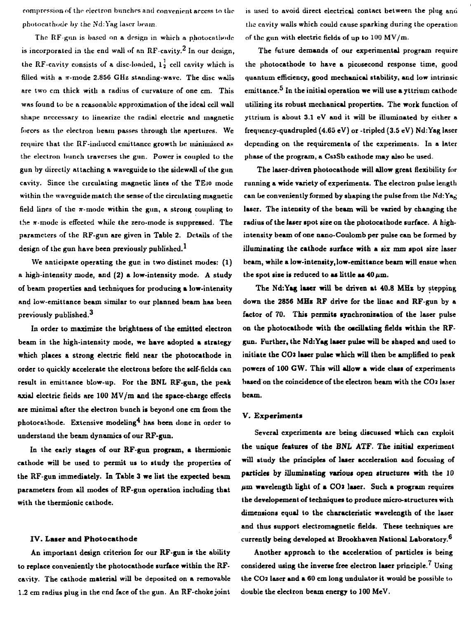**comprcssionof tho electron bunches and convenient access to the photocathode by the Nd.Yag laser brnin.**

The RF-gun is based on a design in which a photocathode **is incorporated in the end wall of an RF-cavity. In our design,** the RF-cavity consists of a disc-londed,  $1<sub>2</sub><sup>1</sup>$  cell cavity which is filled with a  $\pi$ -mode 2.856 GHz standing-wave. The disc walis **are two cm thick with a radius of curvature of one cm. This was found to be a reasonable approximation of the ideal cell wall shape nccccssary to linearize the radial electric and magnetic forces as the electron beam passes through the apertures. We require that (he RF-induccd cmittancc growth be minimized as the electron bunch traverses the gun. Power is coupled to the gun by directly attaching a waveguide to the sidewnll of the gun cavity. Since the circulating magnetic lines of the TEio mode within the waveguide match the sense of the circulating magnetic** field lines of the  $\pi$ -mode within the gun, a strong coupling to *the* **T-modc is effected while the zero-mode is suppressed. The parameters of the RF-gun are given in Table 2. Details of the design of the gun have been previously published.**

We anticipate operating the gun in two distinct modes: (1) **a high-intensity mode, and (2) a low-intensity mode. A study of beam properties and techniques for producing a low-intensity and low-emittance beam similar to our planned beam has been previously published.**

**In order to maximize the brightness of the emitted electron beam in the high-intensity mode, we have adopted a strategy which places a strong electric field near the photocathodc in order to quickly accelerate the electrons before the self-fields can result in emittance blow-up. For the BNL RF-gun, the peak axial electric fields are 100 MV/m and the space-charge effects are minimal after the electron bunch is beyond one cm from the photocathode. Extensive modeling'\* has been done in order to understand the beam dynamics of our RF-gun.**

**In the early stages of our RF-gun program, a thermionic cathode will be used to permit us to study the properties of** the RF-gun immediately. In Table 3 we list the expected beam **parameters from all modes of RF-gun operation including that with the thermionic cathode.**

# **IV. Laser and Photocathode**

**An important design criterion for our RF-gun is the ability to replace conveniently the photocathode surface within the RFcavity. The cathode material will be deposited on a removable 1.2 cm radius plug in the end face of the gun. An RF-choke joint**

**is used to avoid direct electrical contact between the plug and the cavity walls which could cause sparking during the operation of the gun with electric fields of up to 100 MV/m.**

**The future demands of our experimental program require the photocathode to have a picosecond response time, good quantum efficiency, good mechanical stability, and low intrinsic** emittance.<sup>5</sup> In the initial operation we will use a yttrium cathode **utilizing its robust mechanical properties. The work function of yttrium is about 3.1 eV and it will be illuminated by cither a frequency-quadrupled (4.65 eV) or -tripled (3.5 eV) Nd:Yag laser depending on the requirements of the experiments. In a later phase of the program, a CslSb cathode may also be used.**

**The laser-driven photocathode will allow great flexibility for running a wide variety of experiments. The electron pidse length can be conveniently formed by shaping the pulse from the Nd:Ya^ laser. The intensity of the beam will be varied by changing the radius of the laser spot size on the photocathode surface. A highintensity beam of one nano-Coulomb per pulse can be formed by illuminating the cathode surface with a six mm spot size laser beam, while a low-intensity, low-emittance beam will ensue when** the spot size is reduced to as little as  $40 \,\mu \mathrm{m}$ .

**The Nd:Yag laser will be driven at 40.8 MHz by stepping down the 2856 MHz RF drive for the linac and RF-gun by a factor of 70. This permits synchronization of the laser pulse on the photocathode with the oscillating fields within the RFgun. Further, the Nd:Yag laser pulse will be shaped and used to** initiate the CO2 laser pulse which will then be amplified to peak **powers of 100 GW. This will allow a wide class of experiments based on the coincidence of the electron beam with the CO2 laser beam.**

#### **V, Experiments**

**Several experiments are being discussed which can exploit the unique features of the BNL ATF. The initial experiment will study the principles of laser acceleration and focusing of particles by illuminating various open structures with the 10** *fim* **wavelength light of a CO2 laser. Such a program requires the developement of techniques to produce micro-structures with dimensions equal to the characteristic wavelength of the laser and thus support electromagnetic fields. These techniques are currently being developed at Brookhaven National Laboratory.<sup>6</sup>**

**Another approach to the acceleration of particles is being considered using the inverse free electron laser principle. Using the COJ laser and a 60 cm long undulator it would be possible to double the electron beam energy to 100 MeV.**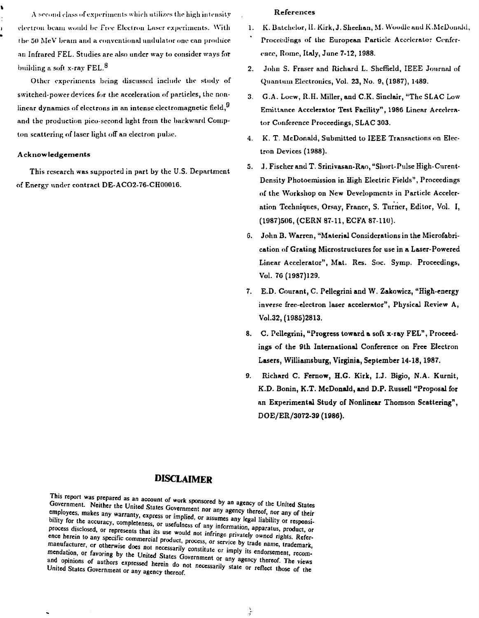**A seomd class irf experiments which utilizes the high intensity** electron beam would be Free Electron Laser experiments. With **(In- 50 MeV beam ami a conventional uudulator one can produce an Infrared FEL. Studies are also under way to consider ways fot building a soft x-ray FEL.<sup>8</sup>**

**Other experiments being discussed include the study of switched-powcr devices for the acceleration of particles, the nonlinear dynamics of electrons in an intense electromagnetic field/ and the production pico-second light from the backward Compton scattering of laser light off an electron pulse.**

## **Acknowledgements**

**This research was supported in part by the U.S. Department of Energy under contract DE-ACO2-76-CH00016.**

#### **References**

- **1. K. Batchelor, 11. Kirk, J. Sheehan, M. Woodle and K.McDonald, Proceedings of the European Particle Accelerator Conference, Rome, Italy, June 7-12, 1988.**
- **2. John S. Fraser and Richard L. Sheffield, IEEE Journal of quantum Electrouics, Vol. 23, No. 9, (1987), 1489.**
- **3. G.A. Locw, R.H. Miller, and C.K. Sinclair, "The SLAC Low Emittancc Accelerator Test Facility", 1986 Linear Accelerator Conference Proceedings, SLAC 303.**
- **4. K. T. McDonald, Submitted to IEEE Transactions on Electron Devices (1988).**
- **5. J. Fischer and T. Srinivasan-Rao, "Short-Pulse High-Curent-Dcnsity Photoemission in High Electric Fields", Proceedings of the Workshop on New Developments in Particle Acceleration Techniques, Orsay, France, S. Turner, Editor, Vol. I, (1987)506, (CERN 87-11, ECFA 87-110).**
- **6. John D. Warren, "Material Considerations in the Microfabrication of Grating Microstructures for use in a Laser-Powered Linear Accelerator", Mat. Res. Soc. Symp. Proceedings, Vol. 70 (1987)129.**
- **7. E.D. Courant, C. Pellegrini and W. Zakowicz, "High-energy inverse free-electron laser accelerator", Physical Review A, Vol.32, (1985)2813.**
- **8. C. Pellegrini, "Progress toward a soft x-ray FEL", Proceedings of the 9th International Conference on Free Electron Lasers, Williamsburg, Virginia, September 14-18,1987.**
- **9. Richard C. Fernow,** *E.G.* **Kirk, I.J. Bigio, N.A. Kurnit, K.D. Bonin, K.T. McDonald, and D.P. Russell "Proposal for an Experimental Study of Nonlinear Thomson Scattering", DOE/ER/3072-39 (1986).**

# **DISCLAIMER**

employees, makes any warranty, express or implied, or assumes any legal liability or responsi-<br>bility for the accuracy, completences or smoot the sames any legal liability or responsi*n s* **e** *e ec***<sub><b>***no***</sub>**</sub> This report was prepared as an account of work sponsored by an agency of the United States bility for the accuracy, completeness, or usefulness of any information opposed. process disclosed, or represents that its use would not infringe privately owned rights. Referprocess usclosed, or represents that its use would not infringe privately owned rights. Reference herein to any specific commercial product, process, or service by trade name, trademark, manufacturer, or otherwise does not manufacturer, or otherwise does not necessarily constitute or imply its endorsement, recomand opinions of authors curve is a **participally of the United States** Government or any agency thereof. The United States Government or any agency thereof. United States Government or any agency thereof.

à.